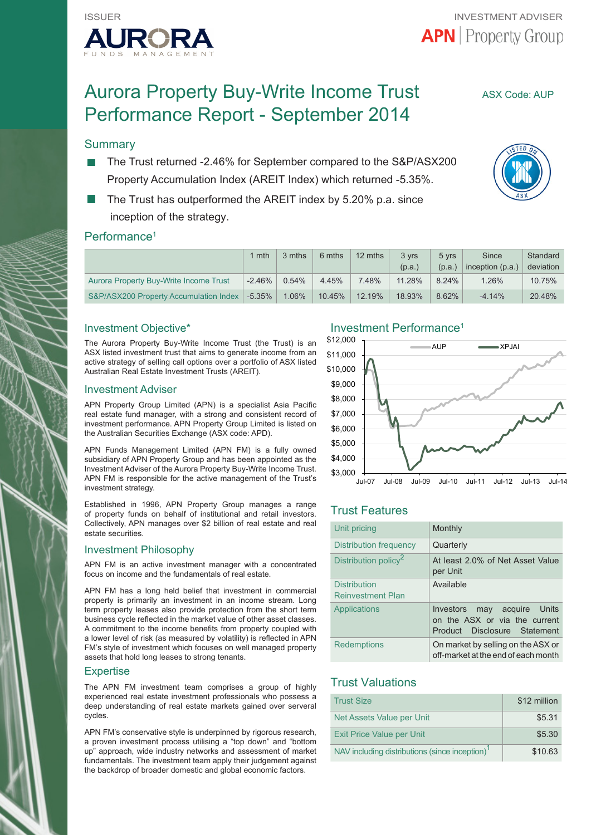

# Aurora Property Buy-Write Income Trust ASX Code: AUP Performance Report - September 2014

#### **Summary**

- The Trust returned -2.46% for September compared to the S&P/ASX200 Property Accumulation Index (AREIT Index) which returned -5.35%.
- The Trust has outperformed the AREIT index by 5.20% p.a. since inception of the strategy.

#### Performance<sup>1</sup>

|                                        | l mth     | 3 mths   | 6 mths | 12 mths | 3 vrs  | 5 vrs  | Since              | Standard  |
|----------------------------------------|-----------|----------|--------|---------|--------|--------|--------------------|-----------|
|                                        |           |          |        |         | (p.a.) | (p.a.) | inception $(p.a.)$ | deviation |
| Aurora Property Buy-Write Income Trust | $-2.46\%$ | $0.54\%$ | 4.45%  | 7.48%   | 11.28% | 8.24%  | 1.26%              | 10.75%    |
| S&P/ASX200 Property Accumulation Index | $-5.35\%$ | $1.06\%$ | 10.45% | 12.19%  | 18.93% | 8.62%  | $-4.14\%$          | 20.48%    |

#### Investment Objective\*

The Aurora Property Buy-Write Income Trust (the Trust) is an ASX listed investment trust that aims to generate income from an active strategy of selling call options over a portfolio of ASX listed Australian Real Estate Investment Trusts (AREIT).

#### Investment Adviser

APN Property Group Limited (APN) is a specialist Asia Pacific real estate fund manager, with a strong and consistent record of investment performance. APN Property Group Limited is listed on the Australian Securities Exchange (ASX code: APD).

APN Funds Management Limited (APN FM) is a fully owned subsidiary of APN Property Group and has been appointed as the Investment Adviser of the Aurora Property Buy-Write Income Trust. APN FM is responsible for the active management of the Trust's investment strategy.

Established in 1996, APN Property Group manages a range of property funds on behalf of institutional and retail investors. Collectively, APN manages over \$2 billion of real estate and real estate securities.

#### Investment Philosophy

APN FM is an active investment manager with a concentrated focus on income and the fundamentals of real estate.

APN FM has a long held belief that investment in commercial property is primarily an investment in an income stream. Long term property leases also provide protection from the short term business cycle reflected in the market value of other asset classes. A commitment to the income benefits from property coupled with a lower level of risk (as measured by volatility) is reflected in APN FM's style of investment which focuses on well managed property assets that hold long leases to strong tenants.

#### **Expertise**

The APN FM investment team comprises a group of highly experienced real estate investment professionals who possess a deep understanding of real estate markets gained over serveral cycles.

APN FM's conservative style is underpinned by rigorous research, a proven investment process utilising a "top down" and "bottom up" approach, wide industry networks and assessment of market fundamentals. The investment team apply their judgement against the backdrop of broader domestic and global economic factors.

#### Investment Performance1



# Trust Features

| Unit pricing                                    | Monthly                                                                                            |
|-------------------------------------------------|----------------------------------------------------------------------------------------------------|
| Distribution frequency                          | Quarterly                                                                                          |
| Distribution policy <sup>2</sup>                | At least 2.0% of Net Asset Value<br>per Unit                                                       |
| <b>Distribution</b><br><b>Reinvestment Plan</b> | Available                                                                                          |
| Applications                                    | Investors<br>may acquire Units<br>on the ASX or via the current<br>Disclosure Statement<br>Product |
| <b>Redemptions</b>                              | On market by selling on the ASX or<br>off-market at the end of each month                          |

# Trust Valuations

| <b>Trust Size</b>                                          | \$12 million |
|------------------------------------------------------------|--------------|
| Net Assets Value per Unit                                  | \$5.31       |
| <b>Exit Price Value per Unit</b>                           | \$5.30       |
| NAV including distributions (since inception) <sup>1</sup> | \$10.63      |